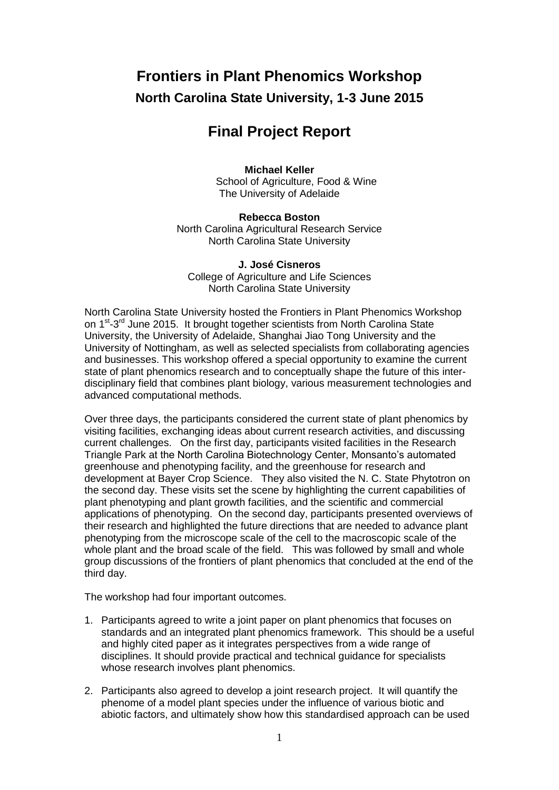# **Frontiers in Plant Phenomics Workshop North Carolina State University, 1-3 June 2015**

## **Final Project Report**

### **Michael Keller**

School of Agriculture, Food & Wine The University of Adelaide

**Rebecca Boston** North Carolina Agricultural Research Service North Carolina State University

**J. José Cisneros** College of Agriculture and Life Sciences North Carolina State University

North Carolina State University hosted the Frontiers in Plant Phenomics Workshop on 1<sup>st</sup>-3<sup>rd</sup> June 2015. It brought together scientists from North Carolina State University, the University of Adelaide, Shanghai Jiao Tong University and the University of Nottingham, as well as selected specialists from collaborating agencies and businesses. This workshop offered a special opportunity to examine the current state of plant phenomics research and to conceptually shape the future of this interdisciplinary field that combines plant biology, various measurement technologies and advanced computational methods.

Over three days, the participants considered the current state of plant phenomics by visiting facilities, exchanging ideas about current research activities, and discussing current challenges. On the first day, participants visited facilities in the Research Triangle Park at the North Carolina Biotechnology Center, Monsanto's automated greenhouse and phenotyping facility, and the greenhouse for research and development at Bayer Crop Science. They also visited the N. C. State Phytotron on the second day. These visits set the scene by highlighting the current capabilities of plant phenotyping and plant growth facilities, and the scientific and commercial applications of phenotyping. On the second day, participants presented overviews of their research and highlighted the future directions that are needed to advance plant phenotyping from the microscope scale of the cell to the macroscopic scale of the whole plant and the broad scale of the field. This was followed by small and whole group discussions of the frontiers of plant phenomics that concluded at the end of the third day.

The workshop had four important outcomes.

- 1. Participants agreed to write a joint paper on plant phenomics that focuses on standards and an integrated plant phenomics framework. This should be a useful and highly cited paper as it integrates perspectives from a wide range of disciplines. It should provide practical and technical guidance for specialists whose research involves plant phenomics.
- 2. Participants also agreed to develop a joint research project. It will quantify the phenome of a model plant species under the influence of various biotic and abiotic factors, and ultimately show how this standardised approach can be used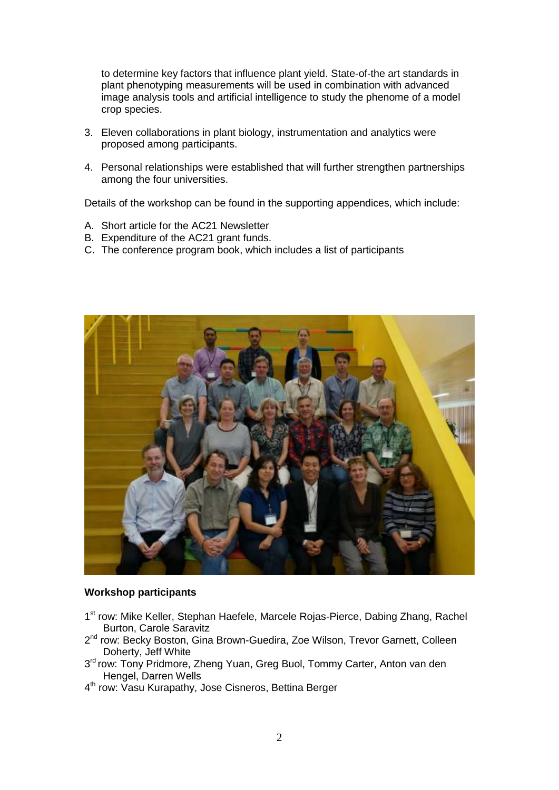to determine key factors that influence plant yield. State-of-the art standards in plant phenotyping measurements will be used in combination with advanced image analysis tools and artificial intelligence to study the phenome of a model crop species.

- 3. Eleven collaborations in plant biology, instrumentation and analytics were proposed among participants.
- 4. Personal relationships were established that will further strengthen partnerships among the four universities.

Details of the workshop can be found in the supporting appendices, which include:

- A. Short article for the AC21 Newsletter
- B. Expenditure of the AC21 grant funds.
- C. The conference program book, which includes a list of participants



#### **Workshop participants**

- 1<sup>st</sup> row: Mike Keller, Stephan Haefele, Marcele Rojas-Pierce, Dabing Zhang, Rachel Burton, Carole Saravitz
- 2<sup>nd</sup> row: Becky Boston, Gina Brown-Guedira, Zoe Wilson, Trevor Garnett, Colleen Doherty, Jeff White
- 3<sup>rd</sup> row: Tony Pridmore, Zheng Yuan, Greg Buol, Tommy Carter, Anton van den Hengel, Darren Wells
- 4<sup>th</sup> row: Vasu Kurapathy, Jose Cisneros, Bettina Berger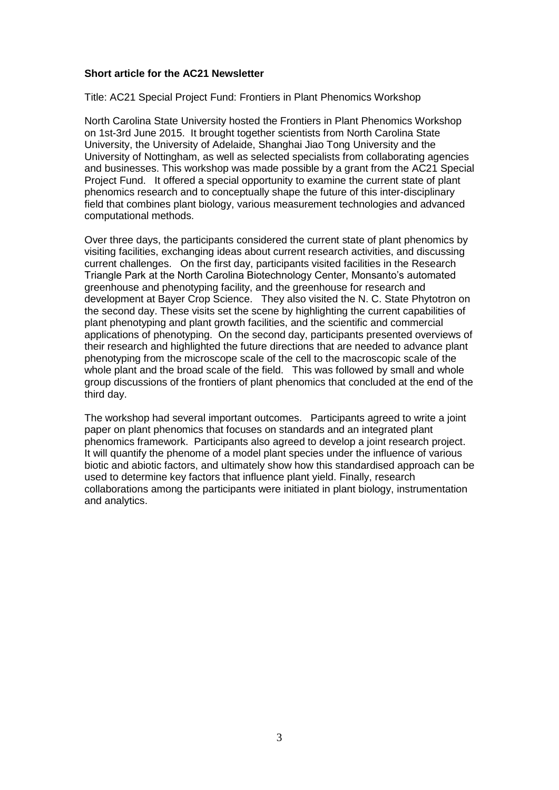#### **Short article for the AC21 Newsletter**

Title: AC21 Special Project Fund: Frontiers in Plant Phenomics Workshop

North Carolina State University hosted the Frontiers in Plant Phenomics Workshop on 1st-3rd June 2015. It brought together scientists from North Carolina State University, the University of Adelaide, Shanghai Jiao Tong University and the University of Nottingham, as well as selected specialists from collaborating agencies and businesses. This workshop was made possible by a grant from the AC21 Special Project Fund. It offered a special opportunity to examine the current state of plant phenomics research and to conceptually shape the future of this inter-disciplinary field that combines plant biology, various measurement technologies and advanced computational methods.

Over three days, the participants considered the current state of plant phenomics by visiting facilities, exchanging ideas about current research activities, and discussing current challenges. On the first day, participants visited facilities in the Research Triangle Park at the North Carolina Biotechnology Center, Monsanto's automated greenhouse and phenotyping facility, and the greenhouse for research and development at Bayer Crop Science. They also visited the N. C. State Phytotron on the second day. These visits set the scene by highlighting the current capabilities of plant phenotyping and plant growth facilities, and the scientific and commercial applications of phenotyping. On the second day, participants presented overviews of their research and highlighted the future directions that are needed to advance plant phenotyping from the microscope scale of the cell to the macroscopic scale of the whole plant and the broad scale of the field. This was followed by small and whole group discussions of the frontiers of plant phenomics that concluded at the end of the third day.

The workshop had several important outcomes. Participants agreed to write a joint paper on plant phenomics that focuses on standards and an integrated plant phenomics framework. Participants also agreed to develop a joint research project. It will quantify the phenome of a model plant species under the influence of various biotic and abiotic factors, and ultimately show how this standardised approach can be used to determine key factors that influence plant yield. Finally, research collaborations among the participants were initiated in plant biology, instrumentation and analytics.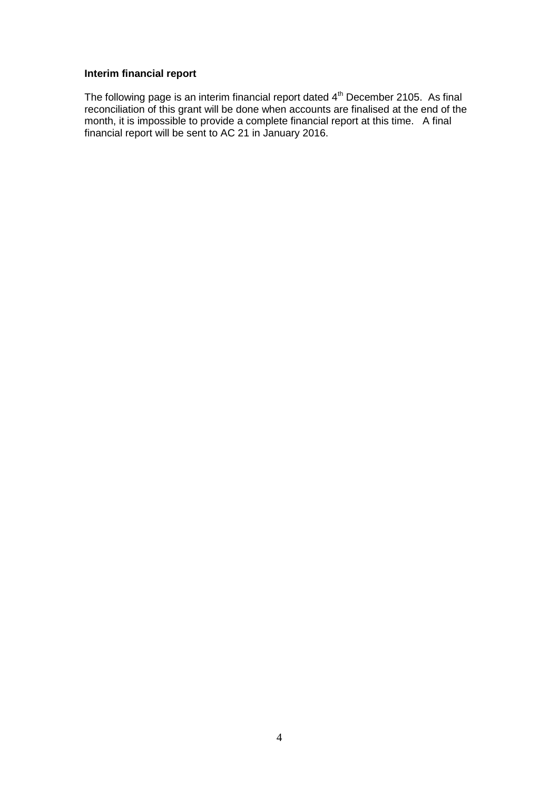## **Interim financial report**

The following page is an interim financial report dated  $4<sup>th</sup>$  December 2105. As final reconciliation of this grant will be done when accounts are finalised at the end of the month, it is impossible to provide a complete financial report at this time. A final financial report will be sent to AC 21 in January 2016.